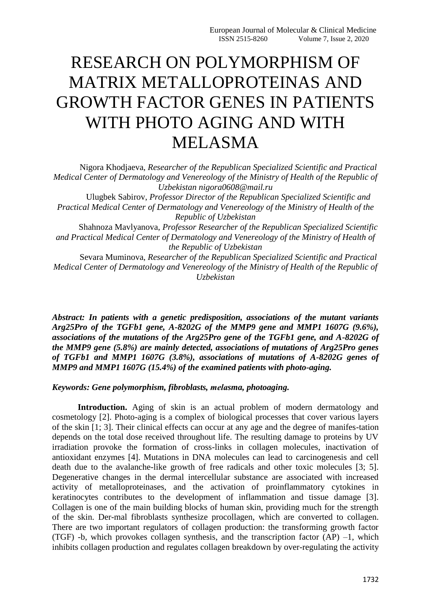## RESEARCH ON POLYMORPHISM OF MATRIX METALLOPROTEINAS AND GROWTH FACTOR GENES IN PATIENTS WITH PHOTO AGING AND WITH MELASMA

Nigora Khodjaeva, *Researcher of the Republican Specialized Scientific and Practical Medical Center of Dermatology and Venereology of the Ministry of Health of the Republic of Uzbekistan nigora0608@mail.ru*

Ulugbek Sabirov, *Professor Director of the Republican Specialized Scientific and Practical Medical Center of Dermatology and Venereology of the Ministry of Health of the Republic of Uzbekistan*

Shahnoza Mavlyanova, *Professor Researcher of the Republican Specialized Scientific and Practical Medical Center of Dermatology and Venereology of the Ministry of Health of the Republic of Uzbekistan*

Sevara Muminova, *Researcher of the Republican Specialized Scientific and Practical Medical Center of Dermatology and Venereology of the Ministry of Health of the Republic of Uzbekistan*

*Abstract: In patients with a genetic predisposition, associations of the mutant variants Arg25Pro of the TGFb1 gene, A-8202G of the MMP9 gene and MMP1 1607G (9.6%), associations of the mutations of the Arg25Pro gene of the TGFb1 gene, and A-8202G of the MMP9 gene (5.8%) are mainly detected, associations of mutations of Arg25Pro genes of TGFb1 and MMP1 1607G (3.8%), associations of mutations of A-8202G genes of MMP9 and MMP1 1607G (15.4%) of the examined patients with photo-aging.*

## *Keywords: Gene polymorphism, fibroblasts, melаsma, photoaging.*

Introduction. Aging of skin is an actual problem of modern dermatology and cosmetology [2]. Photo-aging is a complex of biological processes that cover various layers of the skin [1; 3]. Their clinical effects can occur at any age and the degree of manifes-tation depends on the total dose received throughout life. The resulting damage to proteins by UV irradiation provoke the formation of cross-links in collagen molecules, inactivation of antioxidant enzymes [4]. Mutations in DNA molecules can lead to carcinogenesis and cell death due to the avalanche-like growth of free radicals and other toxic molecules [3; 5]. Degenerative changes in the dermal intercellular substance are associated with increased activity of metalloproteinases, and the activation of proinflammatory cytokines in keratinocytes contributes to the development of inflammation and tissue damage [3]. Collagen is one of the main building blocks of human skin, providing much for the strength of the skin. Der-mal fibroblasts synthesize procollagen, which are converted to collagen. There are two important regulators of collagen production: the transforming growth factor (TGF) -b, which provokes collagen synthesis, and the transcription factor  $(AP)$  -1, which inhibits collagen production and regulates collagen breakdown by over-regulating the activity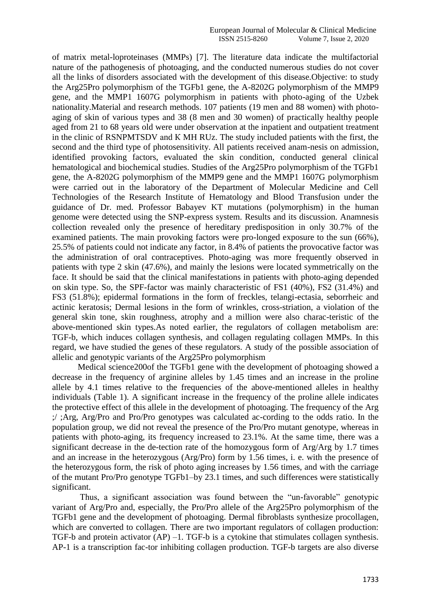of matrix metal-loproteinases (MMPs) [7]. The literature data indicate the multifactorial nature of the pathogenesis of photoaging, and the conducted numerous studies do not cover all the links of disorders associated with the development of this disease.Objective: to study the Arg25Pro polymorphism of the TGFb1 gene, the A-8202G polymorphism of the MMP9 gene, and the MMP1 1607G polymorphism in patients with photo-aging of the Uzbek nationality.Material and research methods. 107 patients (19 men and 88 women) with photoaging of skin of various types and 38 (8 men and 30 women) of practically healthy people aged from 21 to 68 years old were under observation at the inpatient and outpatient treatment in the clinic of RSNPMTSDV аnd К MH RUz. The study included patients with the first, the second and the third type of photosensitivity. All patients received anam-nesis on admission, identified provoking factors, evaluated the skin condition, conducted general clinical hematological and biochemical studies. Studies of the Arg25Pro polymorphism of the TGFb1 gene, the A-8202G polymorphism of the MMP9 gene and the MMP1 1607G polymorphism were carried out in the laboratory of the Department of Molecular Medicine and Cell Technologies of the Research Institute of Hematology and Blood Transfusion under the guidance of Dr. med. Professor Babayev KT mutations (polymorphism) in the human genome were detected using the SNP-express system. Results and its discussion. Anamnesis collection revealed only the presence of hereditary predisposition in only 30.7% of the examined patients. The main provoking factors were pro-longed exposure to the sun (66%), 25.5% of patients could not indicate any factor, in 8.4% of patients the provocative factor was the administration of oral contraceptives. Photo-aging was more frequently observed in patients with type 2 skin (47.6%), and mainly the lesions were located symmetrically on the face. It should be said that the clinical manifestations in patients with photo-aging depended on skin type. So, the SPF-factor was mainly characteristic of FS1 (40%), FS2 (31.4%) and FS3 (51.8%); epidermal formations in the form of freckles, telangi-ectasia, seborrheic and actinic keratosis; Dermal lesions in the form of wrinkles, cross-striation, a violation of the general skin tone, skin roughness, atrophy and a million were also charac-teristic of the above-mentioned skin types.As noted earlier, the regulators of collagen metabolism are: TGF-b, which induces collagen synthesis, and collagen regulating collagen MMPs. In this regard, we have studied the genes of these regulators. A study of the possible association of allelic and genotypic variants of the Arg25Pro polymorphism

Medical science200of the TGFb1 gene with the development of photoaging showed a decrease in the frequency of arginine alleles by 1.45 times and an increase in the proline allele by 4.1 times relative to the frequencies of the above-mentioned alleles in healthy individuals (Table 1). A significant increase in the frequency of the proline allele indicates the protective effect of this allele in the development of photoaging. The frequency of the Arg ;/ ;Arg, Arg/Pro and Pro/Pro genotypes was calculated ac-cording to the odds ratio. In the population group, we did not reveal the presence of the Pro/Pro mutant genotype, whereas in patients with photo-aging, its frequency increased to 23.1%. At the same time, there was a significant decrease in the de-tection rate of the homozygous form of Arg/Arg by 1.7 times and an increase in the heterozygous (Arg/Pro) form by 1.56 times, i. e. with the presence of the heterozygous form, the risk of photo aging increases by 1.56 times, and with the carriage of the mutant Pro/Pro genotype TGFb1–by 23.1 times, and such differences were statistically significant.

Thus, a significant association was found between the "un-favorable" genotypic variant of Arg/Pro and, especially, the Pro/Pro allele of the Arg25Pro polymorphism of the TGFb1 gene and the development of photoaging. Dermal fibroblasts synthesize procollagen, which are converted to collagen. There are two important regulators of collagen production: TGF-b and protein activator (AP) –1. TGF-b is a cytokine that stimulates collagen synthesis. AP-1 is a transcription fac-tor inhibiting collagen production. TGF-b targets are also diverse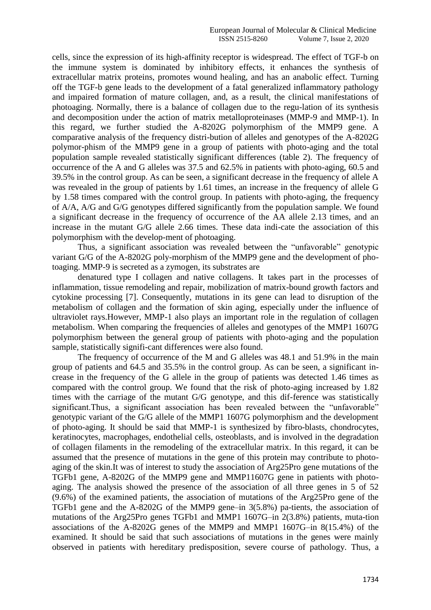cells, since the expression of its high-affinity receptor is widespread. The effect of TGF-b on the immune system is dominated by inhibitory effects, it enhances the synthesis of extracellular matrix proteins, promotes wound healing, and has an anabolic effect. Turning off the TGF-b gene leads to the development of a fatal generalized inflammatory pathology and impaired formation of mature collagen, and, as a result, the clinical manifestations of photoaging. Normally, there is a balance of collagen due to the regu-lation of its synthesis and decomposition under the action of matrix metalloproteinases (MMP-9 and MMP-1). In this regard, we further studied the A-8202G polymorphism of the MMP9 gene. A comparative analysis of the frequency distri-bution of alleles and genotypes of the A-8202G polymor-phism of the MMP9 gene in a group of patients with photo-aging and the total population sample revealed statistically significant differences (table 2). The frequency of occurrence of the A and G alleles was 37.5 and 62.5% in patients with photo-aging, 60.5 and 39.5% in the control group. As can be seen, a significant decrease in the frequency of allele A was revealed in the group of patients by 1.61 times, an increase in the frequency of allele G by 1.58 times compared with the control group. In patients with photo-aging, the frequency of A/A, A/G and G/G genotypes differed significantly from the population sample. We found a significant decrease in the frequency of occurrence of the AA allele 2.13 times, and an increase in the mutant G/G allele 2.66 times. These data indi-cate the association of this polymorphism with the develop-ment of photoaging.

Thus, a significant association was revealed between the "unfavorable" genotypic variant G/G of the A-8202G poly-morphism of the MMP9 gene and the development of photoaging. MMP-9 is secreted as a zymogen, its substrates are

denatured type I collagen and native collagens. It takes part in the processes of inflammation, tissue remodeling and repair, mobilization of matrix-bound growth factors and cytokine processing [7]. Consequently, mutations in its gene can lead to disruption of the metabolism of collagen and the formation of skin aging, especially under the influence of ultraviolet rays.However, MMP-1 also plays an important role in the regulation of collagen metabolism. When comparing the frequencies of alleles and genotypes of the MMP1 1607G polymorphism between the general group of patients with photo-aging and the population sample, statistically signifi-cant differences were also found.

The frequency of occurrence of the M and G alleles was 48.1 and 51.9% in the main group of patients and 64.5 and 35.5% in the control group. As can be seen, a significant increase in the frequency of the G allele in the group of patients was detected 1.46 times as compared with the control group. We found that the risk of photo-aging increased by 1.82 times with the carriage of the mutant G/G genotype, and this dif-ference was statistically significant.Thus, a significant association has been revealed between the "unfavorable" genotypic variant of the G/G allele of the MMP1 1607G polymorphism and the development of photo-aging. It should be said that MMP-1 is synthesized by fibro-blasts, chondrocytes, keratinocytes, macrophages, endothelial cells, osteoblasts, and is involved in the degradation of collagen filaments in the remodeling of the extracellular matrix. In this regard, it can be assumed that the presence of mutations in the gene of this protein may contribute to photoaging of the skin.It was of interest to study the association of Arg25Pro gene mutations of the TGFb1 gene, A-8202G of the MMP9 gene and MMP11607G gene in patients with photoaging. The analysis showed the presence of the association of all three genes in 5 of 52 (9.6%) of the examined patients, the association of mutations of the Arg25Pro gene of the TGFb1 gene and the A-8202G of the MMP9 gene–in 3(5.8%) pa-tients, the association of mutations of the Arg25Pro genes TGFb1 and MMP1 1607G–in 2(3.8%) patients, muta-tion associations of the A-8202G genes of the MMP9 and MMP1 1607G–in 8(15.4%) of the examined. It should be said that such associations of mutations in the genes were mainly observed in patients with hereditary predisposition, severe course of pathology. Thus, a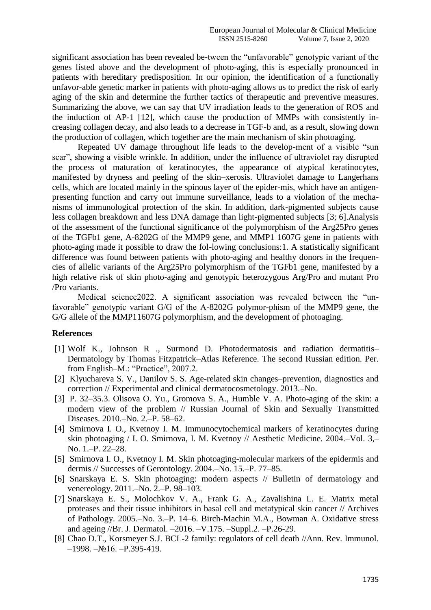significant association has been revealed be-tween the "unfavorable" genotypic variant of the genes listed above and the development of photo-aging, this is especially pronounced in patients with hereditary predisposition. In our opinion, the identification of a functionally unfavor-able genetic marker in patients with photo-aging allows us to predict the risk of early aging of the skin and determine the further tactics of therapeutic and preventive measures. Summarizing the above, we can say that UV irradiation leads to the generation of ROS and the induction of AP-1 [12], which cause the production of MMPs with consistently increasing collagen decay, and also leads to a decrease in TGF-b and, as a result, slowing down the production of collagen, which together are the main mechanism of skin photoaging.

Repeated UV damage throughout life leads to the develop-ment of a visible "sun scar", showing a visible wrinkle. In addition, under the influence of ultraviolet ray disrupted the process of maturation of keratinocytes, the appearance of atypical keratinocytes, manifested by dryness and peeling of the skin–xerosis. Ultraviolet damage to Langerhans cells, which are located mainly in the spinous layer of the epider-mis, which have an antigenpresenting function and carry out immune surveillance, leads to a violation of the mechanisms of immunological protection of the skin. In addition, dark-pigmented subjects cause less collagen breakdown and less DNA damage than light-pigmented subjects [3; 6].Analysis of the assessment of the functional significance of the polymorphism of the Arg25Pro genes of the TGFb1 gene, A-8202G of the MMP9 gene, and MMP1 1607G gene in patients with photo-aging made it possible to draw the fol-lowing conclusions:1. A statistically significant difference was found between patients with photo-aging and healthy donors in the frequencies of allelic variants of the Arg25Pro polymorphism of the TGFb1 gene, manifested by a high relative risk of skin photo-aging and genotypic heterozygous Arg/Pro and mutant Pro /Pro variants.

Medical science2022. A significant association was revealed between the "unfavorable" genotypic variant G/G of the A-8202G polymor-phism of the MMP9 gene, the G/G allele of the MMP11607G polymorphism, and the development of photoaging.

## **References**

- [1] Wolf K., Johnson R ., Surmond D. Photodermatosis and radiation dermatitis– Dermatology by Thomas Fitzpatrick–Atlas Reference. The second Russian edition. Per. from English–M.: "Practice", 2007.2.
- [2] Klyuchareva S. V., Danilov S. S. Age-related skin changes–prevention, diagnostics and correction // Experimental and clinical dermatocosmetology. 2013.–No.
- [3] P. 32–35.3. Olisova O. Yu., Gromova S. A., Humble V. A. Photo-aging of the skin: a modern view of the problem // Russian Journal of Skin and Sexually Transmitted Diseases. 2010.–No. 2.–P. 58–62.
- [4] Smirnova I. O., Kvetnoy I. M. Immunocytochemical markers of keratinocytes during skin photoaging / I. O. Smirnova, I. M. Kvetnoy // Aesthetic Medicine. 2004.–Vol. 3,– No. 1.–P. 22–28.
- [5] Smirnova I. O., Kvetnoy I. M. Skin photoaging-molecular markers of the epidermis and dermis // Successes of Gerontology. 2004.–No. 15.–P. 77–85.
- [6] Snarskaya E. S. Skin photoaging: modern aspects // Bulletin of dermatology and venereology. 2011.–No. 2.–P. 98–103.
- [7] Snarskaya E. S., Molochkov V. A., Frank G. A., Zavalishina L. E. Matrix metal proteases and their tissue inhibitors in basal cell and metatypical skin cancer // Archives of Pathology. 2005.–No. 3.–Р. 14–6. Birch-Machin M.A., Bowman A. Oxidative stress and ageing //Br. J. Dermatol. –2016. –V.175. –Suppl.2. –P.26-29.
- [8] Chao D.T., Korsmeyer S.J. BCL-2 family: regulators of cell death //Ann. Rev. Immunol. –1998. –№16. –P.395-419.